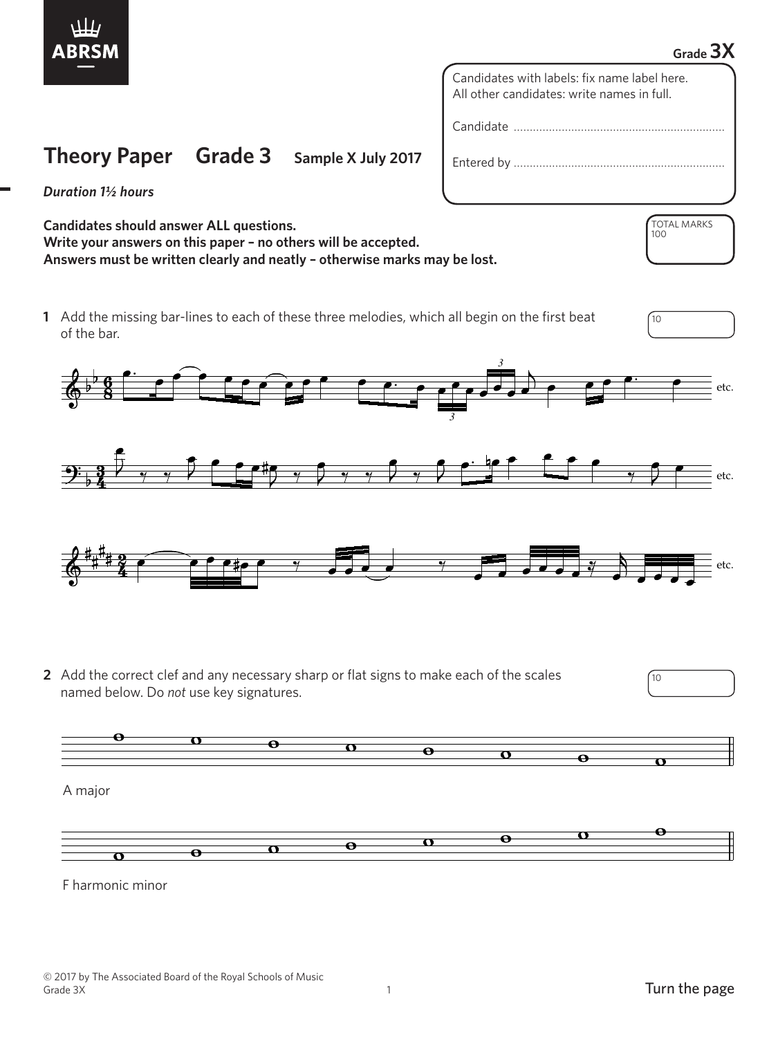

## **Grade 3X**

TOTAL MARKS

100

Candidates with labels: fix name label here. All other candidates: write names in full.

Candidate …………………………………………………………

Entered by …………………………………………………………

*Duration 1½ hours*

**Candidates should answer ALL questions. Write your answers on this paper – no others will be accepted. Answers must be written clearly and neatly – otherwise marks may be lost.**

**Theory Paper Grade 3 Sample X July 2017**

**1** Add the missing bar-lines to each of these three melodies, which all begin on the first beat  $\sqrt{10}$ of the bar.





**2** Add the correct clef and any necessary sharp or flat signs to make each of the scales named below. Do *not* use key signatures.



A major



F harmonic minor  F harmonic minor

10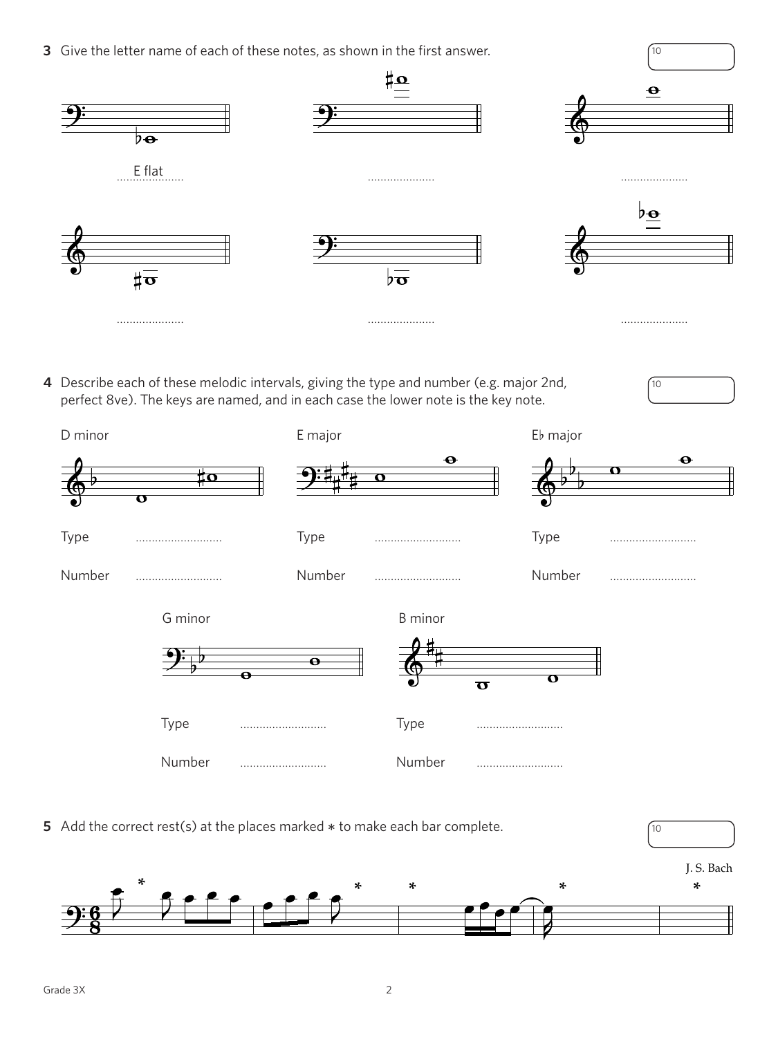**3** Give the letter name of each of these notes, as shown in the first answer.



10

**4** Describe each of these melodic intervals, giving the type and number (e.g. major 2nd, perfect 8ve). The keys are named, and in each case the lower note is the key note.



**5** Add the correct rest(s) at the places marked  $*$  to make each bar complete.  $\sqrt{10}$ 

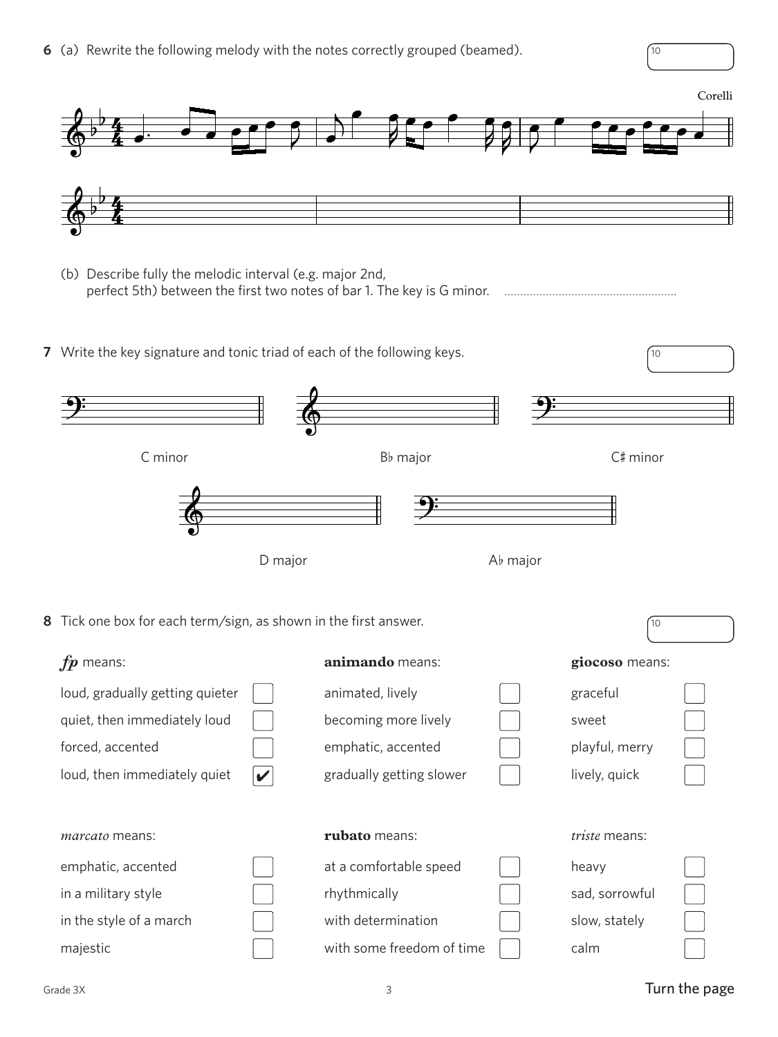**6** (a) Rewrite the following melody with the notes correctly grouped (beamed).